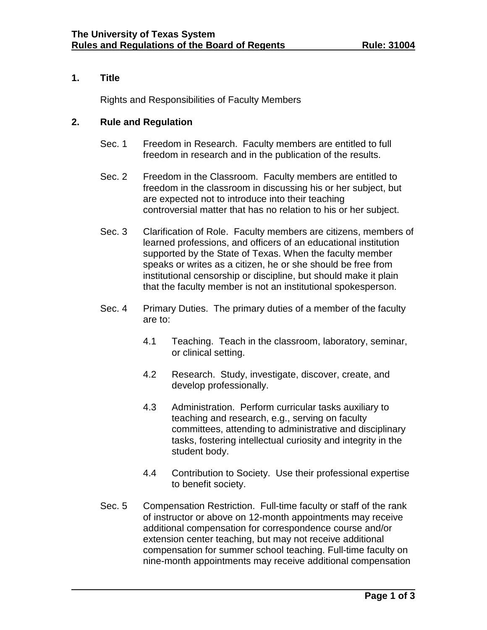# **1. Title**

Rights and Responsibilities of Faculty Members

#### **2. Rule and Regulation**

- Sec. 1 Freedom in Research. Faculty members are entitled to full freedom in research and in the publication of the results.
- Sec. 2 Freedom in the Classroom. Faculty members are entitled to freedom in the classroom in discussing his or her subject, but are expected not to introduce into their teaching controversial matter that has no relation to his or her subject.
- Sec. 3 Clarification of Role. Faculty members are citizens, members of learned professions, and officers of an educational institution supported by the State of Texas. When the faculty member speaks or writes as a citizen, he or she should be free from institutional censorship or discipline, but should make it plain that the faculty member is not an institutional spokesperson.
- Sec. 4 Primary Duties. The primary duties of a member of the faculty are to:
	- 4.1 Teaching. Teach in the classroom, laboratory, seminar, or clinical setting.
	- 4.2 Research. Study, investigate, discover, create, and develop professionally.
	- 4.3 Administration. Perform curricular tasks auxiliary to teaching and research, e.g., serving on faculty committees, attending to administrative and disciplinary tasks, fostering intellectual curiosity and integrity in the student body.
	- 4.4 Contribution to Society. Use their professional expertise to benefit society.
- Sec. 5 Compensation Restriction. Full-time faculty or staff of the rank of instructor or above on 12-month appointments may receive additional compensation for correspondence course and/or extension center teaching, but may not receive additional compensation for summer school teaching. Full-time faculty on nine-month appointments may receive additional compensation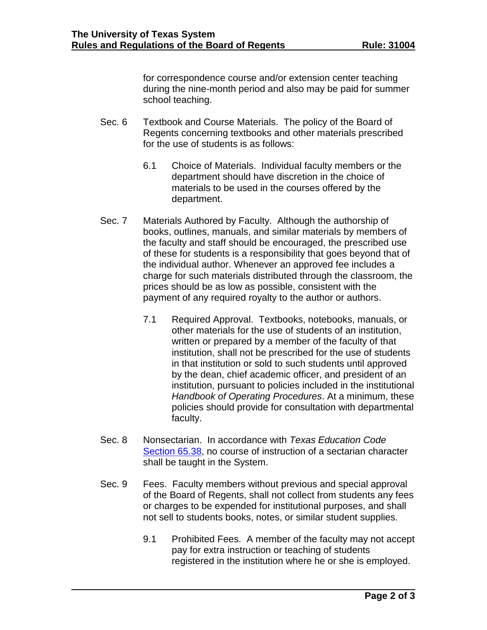for correspondence course and/or extension center teaching during the nine-month period and also may be paid for summer school teaching.

- Sec. 6 Textbook and Course Materials. The policy of the Board of Regents concerning textbooks and other materials prescribed for the use of students is as follows:
	- 6.1 Choice of Materials. Individual faculty members or the department should have discretion in the choice of materials to be used in the courses offered by the department.
- Sec. 7 Materials Authored by Faculty. Although the authorship of books, outlines, manuals, and similar materials by members of the faculty and staff should be encouraged, the prescribed use of these for students is a responsibility that goes beyond that of the individual author. Whenever an approved fee includes a charge for such materials distributed through the classroom, the prices should be as low as possible, consistent with the payment of any required royalty to the author or authors.
	- 7.1 Required Approval. Textbooks, notebooks, manuals, or other materials for the use of students of an institution, written or prepared by a member of the faculty of that institution, shall not be prescribed for the use of students in that institution or sold to such students until approved by the dean, chief academic officer, and president of an institution, pursuant to policies included in the institutional *Handbook of Operating Procedures*. At a minimum, these policies should provide for consultation with departmental faculty.
- Sec. 8 Nonsectarian. In accordance with *Texas Education Code* [Section 65.38,](http://www.statutes.legis.state.tx.us/Docs/ED/htm/ED.65.htm#65.38) no course of instruction of a sectarian character shall be taught in the System.
- Sec. 9 Fees. Faculty members without previous and special approval of the Board of Regents, shall not collect from students any fees or charges to be expended for institutional purposes, and shall not sell to students books, notes, or similar student supplies.
	- 9.1 Prohibited Fees. A member of the faculty may not accept pay for extra instruction or teaching of students registered in the institution where he or she is employed.